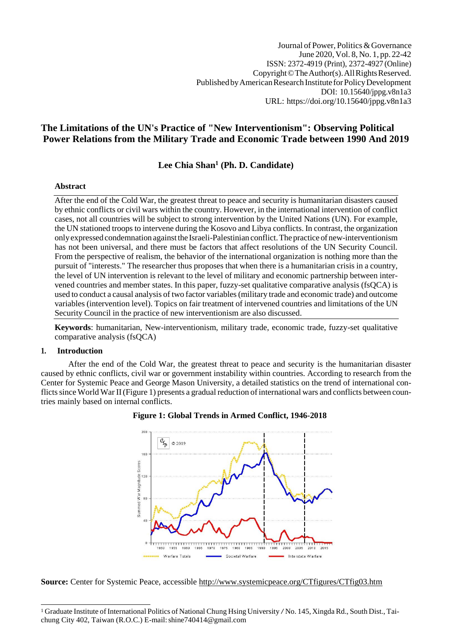# **The Limitations of the UN's Practice of "New Interventionism": Observing Political Power Relations from the Military Trade and Economic Trade between 1990 And 2019**

# **Lee Chia Shan<sup>1</sup> (Ph. D. Candidate)**

## **Abstract**

After the end of the Cold War, the greatest threat to peace and security is humanitarian disasters caused by ethnic conflicts or civil wars within the country. However, in the international intervention of conflict cases, not all countries will be subject to strong intervention by the United Nations (UN). For example, the UN stationed troops to intervene during the Kosovo and Libya conflicts. In contrast, the organization onlyexpressed condemnation againstthe Israeli-Palestinian conflict.The practice ofnew-interventionism has not been universal, and there must be factors that affect resolutions of the UN Security Council. From the perspective of realism, the behavior of the international organization is nothing more than the pursuit of "interests." The researcher thus proposes that when there is a humanitarian crisis in a country, the level of UN intervention is relevant to the level of military and economic partnership between intervened countries and member states. In this paper, fuzzy-set qualitative comparative analysis (fsQCA) is used to conduct a causal analysis of two factor variables(military trade and economic trade) and outcome variables (intervention level). Topics on fair treatment of intervened countries and limitations of the UN Security Council in the practice of new interventionism are also discussed.

**Keywords**: humanitarian, New-interventionism, military trade, economic trade, fuzzy-set qualitative comparative analysis (fsQCA)

## **1. Introduction**

After the end of the Cold War, the greatest threat to peace and security is the humanitarian disaster caused by ethnic conflicts, civil war or government instability within countries. According to research from the Center for Systemic Peace and George Mason University, a detailed statistics on the trend of international conflicts since World War II (Figure 1) presents a gradual reduction of international wars and conflicts between countries mainly based on internal conflicts.





**Source:** Center for Systemic Peace, accessible<http://www.systemicpeace.org/CTfigures/CTfig03.htm>

<sup>&</sup>lt;sup>1</sup> Graduate Institute of International Politics of National Chung Hsing University / No. 145, Xingda Rd., South Dist., Taichung City 402, Taiwan (R.O.C.) E-mail: shine740414@gmail.com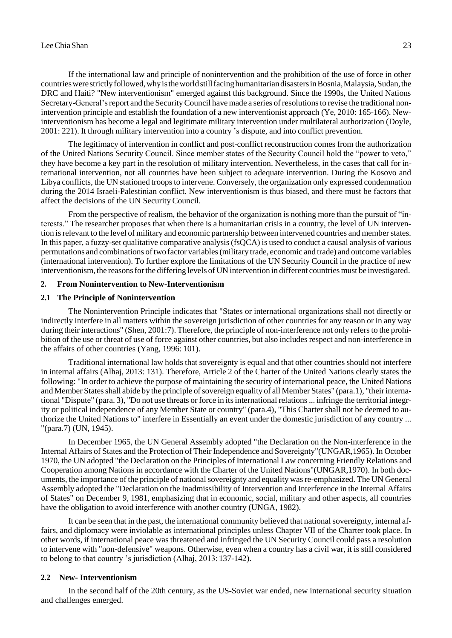#### LeeChiaShan 23

If the international law and principle of nonintervention and the prohibition of the use of force in other countrieswerestrictlyfollowed,whyistheworldstillfacinghumanitariandisastersinBosnia,Malaysia,Sudan,the DRC and Haiti? "New interventionism" emerged against this background. Since the 1990s, the United Nations Secretary-General's report and the Security Council have made a series of resolutions to revise the traditional nonintervention principle and establish the foundation of a new interventionist approach (Ye, 2010: 165-166). Newinterventionism has become a legal and legitimate military intervention under multilateral authorization (Doyle, 2001: 221). It through military intervention into a country 's dispute, and into conflict prevention.

The legitimacy of intervention in conflict and post-conflict reconstruction comes from the authorization of the United Nations Security Council. Since member states of the Security Council hold the "power to veto," they have become a key part in the resolution of military intervention. Nevertheless, in the cases that call for international intervention, not all countries have been subject to adequate intervention. During the Kosovo and Libya conflicts, the UN stationed troops to intervene. Conversely, the organization only expressed condemnation during the 2014 Israeli-Palestinian conflict. New interventionism is thus biased, and there must be factors that affect the decisions of the UN Security Council.

From the perspective of realism, the behavior of the organization is nothing more than the pursuit of "interests." The researcher proposes that when there is a humanitarian crisis in a country, the level of UN intervention is relevant to the level of military and economic partnership between intervened countries and member states. In this paper, a fuzzy-set qualitative comparative analysis(fsQCA) is used to conduct a causal analysis of various permutations and combinations oftwo factor variables(military trade, economic and trade) and outcome variables (international intervention). To further explore the limitations of the UN Security Council in the practice of new interventionism, the reasonsforthe differing levels of UN intervention in different countries must be investigated.

#### **2. From Nonintervention to New-Interventionism**

#### **2.1 The Principle of Nonintervention**

The Nonintervention Principle indicates that "States or international organizations shall not directly or indirectly interfere in all matters within the sovereign jurisdiction of other countries for any reason or in any way during their interactions" (Shen, 2001:7). Therefore, the principle of non-interference not only refers to the prohibition of the use or threat of use of force against other countries, but also includes respect and non-interference in the affairs of other countries (Yang, 1996: 101).

Traditional international law holds that sovereignty is equal and that other countries should not interfere in internal affairs (Alhaj, 2013: 131). Therefore, Article 2 of the Charter of the United Nations clearly states the following: "In order to achieve the purpose of maintaining the security of international peace, the United Nations and Member States shall abide by the principle of sovereign equality of all Member States" (para.1), "their international "Dispute" (para. 3), "Do not use threats or force in itsinternational relations... infringe the territorial integrity or political independence of any Member State or country" (para.4), "This Charter shall not be deemed to authorize the United Nations to" interfere in Essentially an event under the domestic jurisdiction of any country ... "(para.7) (UN, 1945).

In December 1965, the UN General Assembly adopted "the Declaration on the Non-interference in the Internal Affairs of States and the Protection of Their Independence and Sovereignty"(UNGAR,1965). In October 1970, the UN adopted "the Declaration on the Principles of International Law concerning Friendly Relations and Cooperation among Nations in accordance with the Charter of the United Nations"(UNGAR,1970). In both documents, the importance of the principle of national sovereignty and equality was re-emphasized. The UN General Assembly adopted the "Declaration on the Inadmissibility of Intervention and Interference in the Internal Affairs of States" on December 9, 1981, emphasizing that in economic, social, military and other aspects, all countries have the obligation to avoid interference with another country (UNGA, 1982).

It can be seen that in the past, the international community believed that national sovereignty, internal affairs, and diplomacy were inviolable as international principles unless Chapter VII of the Charter took place. In other words, if international peace was threatened and infringed the UN Security Council could pass a resolution to intervene with "non-defensive" weapons. Otherwise, even when a country has a civil war, it is still considered to belong to that country 's jurisdiction (Alhaj, 2013: 137-142).

#### **2.2 New- Interventionism**

In the second half of the 20th century, as the US-Soviet war ended, new international security situation and challenges emerged.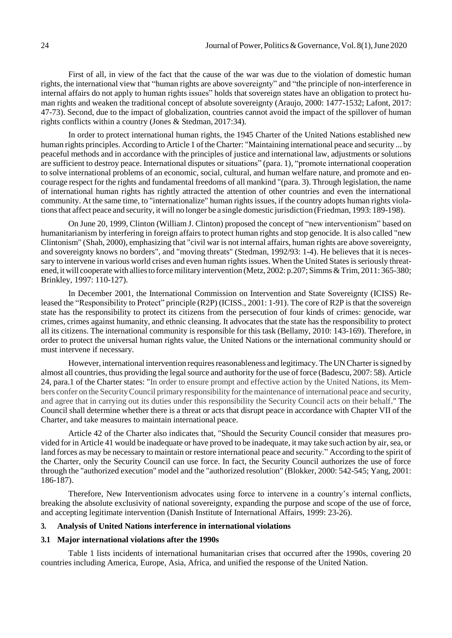First of all, in view of the fact that the cause of the war was due to the violation of domestic human rights, the international view that "human rights are above sovereignty" and "the principle of non-interference in internal affairs do not apply to human rights issues" holds that sovereign states have an obligation to protect human rights and weaken the traditional concept of absolute sovereignty (Araujo, 2000: 1477-1532; Lafont, 2017: 47-73). Second, due to the impact of globalization, countries cannot avoid the impact of the spillover of human rights conflicts within a country (Jones & Stedman, 2017:34).

In order to protect international human rights, the 1945 Charter of the United Nations established new human rights principles. According to Article 1 of the Charter: "Maintaining international peace and security ... by peaceful methods and in accordance with the principles of justice and international law, adjustments or solutions are sufficient to destroy peace. International disputes or situations" (para. 1), "promote international cooperation to solve international problems of an economic, social, cultural, and human welfare nature, and promote and encourage respect for the rights and fundamental freedoms of all mankind "(para. 3). Through legislation, the name of international human rights has rightly attracted the attention of other countries and even the international community. At the same time, to "internationalize" human rights issues, if the country adopts human rights violationsthat affect peace and security, it will no longer be a single domestic jurisdiction (Friedman, 1993: 189-198).

On June 20, 1999, Clinton (William J. Clinton) proposed the concept of "new interventionism" based on humanitarianism by interfering in foreign affairs to protect human rights and stop genocide. It is also called "new Clintonism" (Shah, 2000), emphasizing that "civil war is not internal affairs, human rights are above sovereignty, and sovereignty knows no borders", and "moving threats" (Stedman, 1992/93: 1-4). He believes that it is necessary to intervene in various world crises and even human rights issues. When the United States is seriously threatened, it will cooperate with allies to force military intervention (Metz, 2002: p.207; Simms & Trim, 2011: 365-380; Brinkley, 1997: 110-127).

In December 2001, the International Commission on Intervention and State Sovereignty (ICISS) Released the "Responsibility to Protect" principle (R2P) (ICISS., 2001: 1-91). The core of R2P is that the sovereign state has the responsibility to protect its citizens from the persecution of four kinds of crimes: genocide, war crimes, crimes against humanity, and ethnic cleansing. It advocates that the state has the responsibility to protect all its citizens. The international community is responsible for this task (Bellamy, 2010: 143-169). Therefore, in order to protect the universal human rights value, the United Nations or the international community should or must intervene if necessary.

However, international intervention requires reasonableness and legitimacy. The UN Charter is signed by almost all countries, thus providing the legalsource and authority for the use of force (Badescu, 2007: 58). Article 24, para.1 of the Charter states: "In order to ensure prompt and effective action by the United Nations, its Members confer on the SecurityCouncil primary responsibility forthemaintenance ofinternational peace and security, and agree that in carrying out its duties under this responsibility the Security Council acts on their behalf." The Council shall determine whether there is a threat or acts that disrupt peace in accordance with Chapter VII of the Charter, and take measures to maintain international peace.

Article 42 of the Charter also indicates that, "Should the Security Council consider that measures provided for in Article 41 would be inadequate or have proved to be inadequate, it may take such action by air, sea, or land forces as may be necessary to maintain or restore international peace and security." According to the spirit of the Charter, only the Security Council can use force. In fact, the Security Council authorizes the use of force through the "authorized execution" model and the "authorized resolution" (Blokker, 2000: 542-545; Yang, 2001: 186-187).

Therefore, New Interventionism advocates using force to intervene in a country's internal conflicts, breaking the absolute exclusivity of national sovereignty, expanding the purpose and scope of the use of force, and accepting legitimate intervention (Danish Institute of International Affairs, 1999: 23-26).

#### **3. Analysis of United Nations interference in international violations**

#### **3.1 Major international violations after the 1990s**

Table 1 lists incidents of international humanitarian crises that occurred after the 1990s, covering 20 countries including America, Europe, Asia, Africa, and unified the response of the United Nation.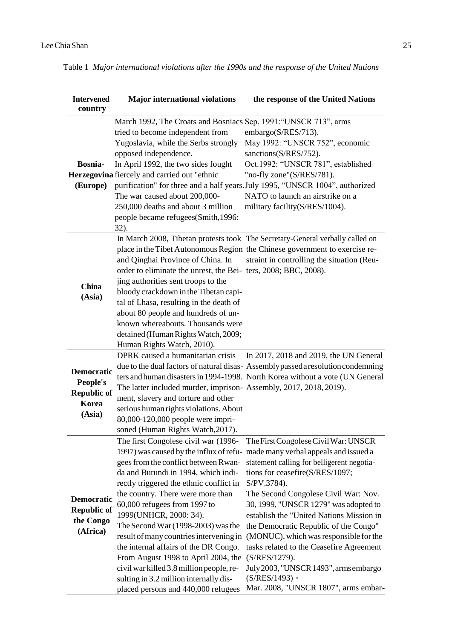| <b>Intervened</b><br>country                                           | <b>Major international violations</b>                                                                                                                                                                                                                                                                                                                                                                                                                                                                                                                         | the response of the United Nations                                                                                                                                                                                                                                                                                                                                                                                                                                                                                                                                                                  |
|------------------------------------------------------------------------|---------------------------------------------------------------------------------------------------------------------------------------------------------------------------------------------------------------------------------------------------------------------------------------------------------------------------------------------------------------------------------------------------------------------------------------------------------------------------------------------------------------------------------------------------------------|-----------------------------------------------------------------------------------------------------------------------------------------------------------------------------------------------------------------------------------------------------------------------------------------------------------------------------------------------------------------------------------------------------------------------------------------------------------------------------------------------------------------------------------------------------------------------------------------------------|
| <b>Bosnia-</b><br>(Europe)                                             | March 1992, The Croats and Bosniacs Sep. 1991: "UNSCR 713", arms<br>tried to become independent from<br>Yugoslavia, while the Serbs strongly<br>opposed independence.<br>In April 1992, the two sides fought<br>Herzegovina fiercely and carried out "ethnic<br>The war caused about 200,000-<br>250,000 deaths and about 3 million<br>people became refugees(Smith, 1996:<br>32).                                                                                                                                                                            | embargo(S/RES/713).<br>May 1992: "UNSCR 752", economic<br>sanctions(S/RES/752).<br>Oct.1992: "UNSCR 781", established<br>"no-fly zone"(S/RES/781).<br>purification" for three and a half years. July 1995, "UNSCR 1004", authorized<br>NATO to launch an airstrike on a<br>military facility(S/RES/1004).                                                                                                                                                                                                                                                                                           |
| <b>China</b><br>(Asia)                                                 | and Qinghai Province of China. In<br>order to eliminate the unrest, the Bei-ters, 2008; BBC, 2008).<br>jing authorities sent troops to the<br>bloody crackdown in the Tibetan capi-<br>tal of Lhasa, resulting in the death of<br>about 80 people and hundreds of un-<br>known whereabouts. Thousands were<br>detained (Human Rights Watch, 2009;<br>Human Rights Watch, 2010).                                                                                                                                                                               | In March 2008, Tibetan protests took The Secretary-General verbally called on<br>place in the Tibet Autonomous Region the Chinese government to exercise re-<br>straint in controlling the situation (Reu-                                                                                                                                                                                                                                                                                                                                                                                          |
| <b>Democratic</b><br>People's<br><b>Republic of</b><br>Korea<br>(Asia) | DPRK caused a humanitarian crisis<br>The latter included murder, imprison-Assembly, 2017, 2018, 2019).<br>ment, slavery and torture and other<br>serious human rights violations. About<br>80,000-120,000 people were impri-<br>soned (Human Rights Watch, 2017).                                                                                                                                                                                                                                                                                             | In 2017, 2018 and 2019, the UN General<br>due to the dual factors of natural disas- Assembly passed a resolution condemning<br>ters and human disasters in 1994-1998. North Korea without a vote (UN General                                                                                                                                                                                                                                                                                                                                                                                        |
| Democratic<br><b>Republic of</b><br>the Congo<br>(Africa)              | The first Congolese civil war (1996-<br>gees from the conflict between Rwan-<br>da and Burundi in 1994, which indi-<br>rectly triggered the ethnic conflict in<br>the country. There were more than<br>60,000 refugees from 1997 to<br>1999(UNHCR, 2000: 34).<br>The Second War $(1998-2003)$ was the<br>result of many countries intervening in<br>the internal affairs of the DR Congo.<br>From August 1998 to April 2004, the<br>civil war killed 3.8 million people, re-<br>sulting in 3.2 million internally dis-<br>placed persons and 440,000 refugees | The First Congolese Civil War: UNSCR<br>1997) was caused by the influx of refu- made many verbal appeals and issued a<br>statement calling for belligerent negotia-<br>tions for ceasefire(S/RES/1097;<br>S/PV.3784).<br>The Second Congolese Civil War: Nov.<br>30, 1999, "UNSCR 1279" was adopted to<br>establish the "United Nations Mission in<br>the Democratic Republic of the Congo"<br>(MONUC), which was responsible for the<br>tasks related to the Ceasefire Agreement<br>(S/RES/1279).<br>July 2003, "UNSCR 1493", arms embargo<br>(S/RES/1493)<br>Mar. 2008, "UNSCR 1807", arms embar- |

Table 1 *Major international violations after the 1990s and the response of the United Nations*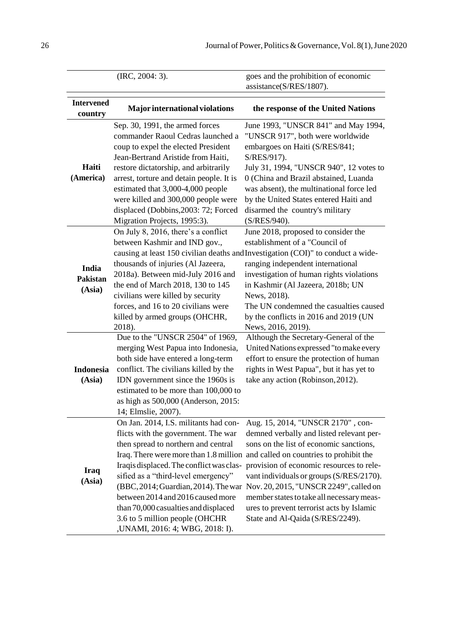|                              | (IRC, 2004: 3).                                                                                                                                                                                                                                                                                                                                                                                   | goes and the prohibition of economic<br>assistance(S/RES/1807).                                                                                                                                                                                                                                                                                                                                                                                                            |
|------------------------------|---------------------------------------------------------------------------------------------------------------------------------------------------------------------------------------------------------------------------------------------------------------------------------------------------------------------------------------------------------------------------------------------------|----------------------------------------------------------------------------------------------------------------------------------------------------------------------------------------------------------------------------------------------------------------------------------------------------------------------------------------------------------------------------------------------------------------------------------------------------------------------------|
| <b>Intervened</b><br>country | <b>Major international violations</b>                                                                                                                                                                                                                                                                                                                                                             | the response of the United Nations                                                                                                                                                                                                                                                                                                                                                                                                                                         |
| Haiti<br>(America)           | Sep. 30, 1991, the armed forces<br>commander Raoul Cedras launched a<br>coup to expel the elected President<br>Jean-Bertrand Aristide from Haiti,<br>restore dictatorship, and arbitrarily<br>arrest, torture and detain people. It is<br>estimated that 3,000-4,000 people<br>were killed and 300,000 people were<br>displaced (Dobbins, 2003: 72; Forced<br>Migration Projects, 1995:3).        | June 1993, "UNSCR 841" and May 1994,<br>"UNSCR 917", both were worldwide<br>embargoes on Haiti (S/RES/841;<br>S/RES/917).<br>July 31, 1994, "UNSCR 940", 12 votes to<br>0 (China and Brazil abstained, Luanda<br>was absent), the multinational force led<br>by the United States entered Haiti and<br>disarmed the country's military<br>(S/RES/940).                                                                                                                     |
| India<br>Pakistan<br>(Asia)  | On July 8, 2016, there's a conflict<br>between Kashmir and IND gov.,<br>thousands of injuries (Al Jazeera,<br>2018a). Between mid-July 2016 and<br>the end of March 2018, 130 to 145<br>civilians were killed by security<br>forces, and 16 to 20 civilians were<br>killed by armed groups (OHCHR,<br>2018).                                                                                      | June 2018, proposed to consider the<br>establishment of a "Council of<br>causing at least 150 civilian deaths and Investigation (COI)" to conduct a wide-<br>ranging independent international<br>investigation of human rights violations<br>in Kashmir (Al Jazeera, 2018b; UN<br>News, 2018).<br>The UN condemned the casualties caused<br>by the conflicts in 2016 and 2019 (UN<br>News, 2016, 2019).                                                                   |
| <b>Indonesia</b><br>(Asia)   | Due to the "UNSCR 2504" of 1969,<br>merging West Papua into Indonesia,<br>both side have entered a long-term<br>conflict. The civilians killed by the<br>IDN government since the 1960s is<br>estimated to be more than 100,000 to<br>as high as 500,000 (Anderson, 2015:<br>14; Elmslie, 2007).                                                                                                  | Although the Secretary-General of the<br>United Nations expressed "to make every<br>effort to ensure the protection of human<br>rights in West Papua", but it has yet to<br>take any action (Robinson, 2012).                                                                                                                                                                                                                                                              |
| <b>Iraq</b><br>(Asia)        | On Jan. 2014, I.S. militants had con-<br>flicts with the government. The war<br>then spread to northern and central<br>Iraqis displaced. The conflict was clas-<br>sified as a "third-level emergency"<br>(BBC, 2014; Guardian, 2014). The war<br>between 2014 and 2016 caused more<br>than 70,000 casualties and displaced<br>3.6 to 5 million people (OHCHR<br>, UNAMI, 2016: 4; WBG, 2018: I). | Aug. 15, 2014, "UNSCR 2170", con-<br>demned verbally and listed relevant per-<br>sons on the list of economic sanctions,<br>Iraq. There were more than 1.8 million and called on countries to prohibit the<br>provision of economic resources to rele-<br>vant individuals or groups (S/RES/2170).<br>Nov. 20, 2015, "UNSCR 2249", called on<br>member states to take all necessary meas-<br>ures to prevent terrorist acts by Islamic<br>State and Al-Qaida (S/RES/2249). |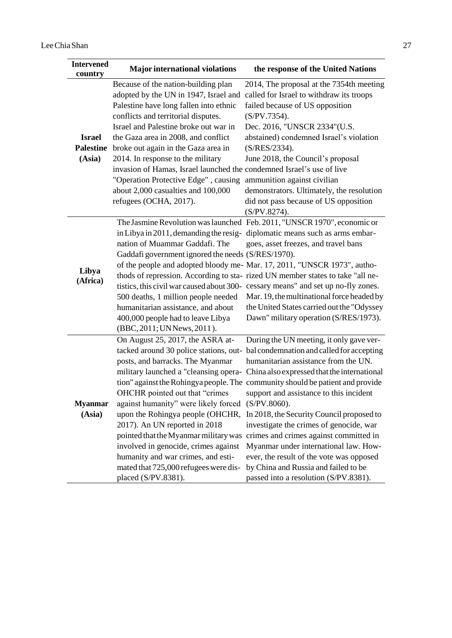| <b>Intervened</b><br>country                | <b>Major international violations</b>                                                                                                                                                                                                                                                                                                                                                                                                                                                                      | the response of the United Nations                                                                                                                                                                                                                                                                                                                                                                                                                                                                                                                                                                                                                                                                                             |
|---------------------------------------------|------------------------------------------------------------------------------------------------------------------------------------------------------------------------------------------------------------------------------------------------------------------------------------------------------------------------------------------------------------------------------------------------------------------------------------------------------------------------------------------------------------|--------------------------------------------------------------------------------------------------------------------------------------------------------------------------------------------------------------------------------------------------------------------------------------------------------------------------------------------------------------------------------------------------------------------------------------------------------------------------------------------------------------------------------------------------------------------------------------------------------------------------------------------------------------------------------------------------------------------------------|
| <b>Israel</b><br><b>Palestine</b><br>(Asia) | Because of the nation-building plan<br>adopted by the UN in 1947, Israel and<br>Palestine have long fallen into ethnic<br>conflicts and territorial disputes.<br>Israel and Palestine broke out war in<br>the Gaza area in 2008, and conflict<br>broke out again in the Gaza area in<br>2014. In response to the military<br>invasion of Hamas, Israel launched the condemned Israel's use of live<br>"Operation Protective Edge", causing<br>about 2,000 casualties and 100,000<br>refugees (OCHA, 2017). | 2014, The proposal at the 7354th meeting<br>called for Israel to withdraw its troops<br>failed because of US opposition<br>$(S/PV.7354)$ .<br>Dec. 2016, "UNSCR 2334"(U.S.<br>abstained) condemned Israel's violation<br>(S/RES/2334).<br>June 2018, the Council's proposal<br>ammunition against civilian<br>demonstrators. Ultimately, the resolution<br>did not pass because of US opposition<br>$(S/PV.8274)$ .                                                                                                                                                                                                                                                                                                            |
| Libya<br>(Africa)                           | nation of Muammar Gaddafi. The<br>Gaddafi government ignored the needs (S/RES/1970).<br>500 deaths, 1 million people needed<br>humanitarian assistance, and about<br>400,000 people had to leave Libya<br>(BBC, 2011; UN News, 2011).                                                                                                                                                                                                                                                                      | The Jasmine Revolution was launched Feb. 2011, "UNSCR 1970", economic or<br>in Libya in 2011, demanding the resig- diplomatic means such as arms embar-<br>goes, asset freezes, and travel bans<br>of the people and adopted bloody me- Mar. 17, 2011, "UNSCR 1973", autho-<br>thods of repression. According to sta- rized UN member states to take "all ne-<br>tistics, this civil war caused about 300- cessary means" and set up no-fly zones.<br>Mar. 19, the multinational force headed by<br>the United States carried out the "Odyssey<br>Dawn" military operation (S/RES/1973).                                                                                                                                       |
| <b>Myanmar</b><br>(Asia)                    | On August 25, 2017, the ASRA at-<br>tacked around 30 police stations, out-<br>posts, and barracks. The Myanmar<br>OHCHR pointed out that "crimes<br>against humanity" were likely forced (S/PV.8060).<br>2017). An UN reported in 2018<br>involved in genocide, crimes against<br>humanity and war crimes, and esti-<br>mated that 725,000 refugees were dis-<br>placed (S/PV.8381).                                                                                                                       | During the UN meeting, it only gave ver-<br>bal condemnation and called for accepting<br>humanitarian assistance from the UN.<br>military launched a "cleansing opera- China also expressed that the international<br>tion" against the Rohingya people. The community should be patient and provide<br>support and assistance to this incident<br>upon the Rohingya people (OHCHR, In 2018, the Security Council proposed to<br>investigate the crimes of genocide, war<br>pointed that the Myanmar military was crimes and crimes against committed in<br>Myanmar under international law. How-<br>ever, the result of the vote was opposed<br>by China and Russia and failed to be<br>passed into a resolution (S/PV.8381). |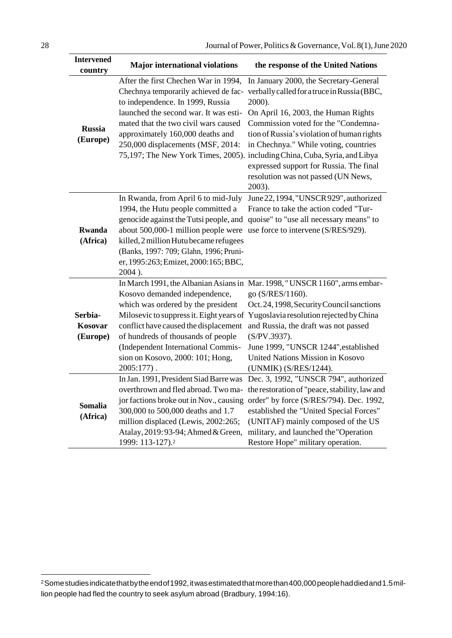| <b>Intervened</b><br>country   | <b>Major international violations</b>                                                                                                                                                                                                                                                           | the response of the United Nations                                                                                                                                                                                                                                                                                                                  |
|--------------------------------|-------------------------------------------------------------------------------------------------------------------------------------------------------------------------------------------------------------------------------------------------------------------------------------------------|-----------------------------------------------------------------------------------------------------------------------------------------------------------------------------------------------------------------------------------------------------------------------------------------------------------------------------------------------------|
|                                | After the first Chechen War in 1994,<br>Chechnya temporarily achieved de fac-<br>to independence. In 1999, Russia<br>launched the second war. It was esti-                                                                                                                                      | In January 2000, the Secretary-General<br>verbally called for a truce in Russia (BBC,<br>2000).<br>On April 16, 2003, the Human Rights                                                                                                                                                                                                              |
| <b>Russia</b><br>(Europe)      | mated that the two civil wars caused<br>approximately 160,000 deaths and<br>250,000 displacements (MSF, 2014:                                                                                                                                                                                   | Commission voted for the "Condemna-<br>tion of Russia's violation of human rights<br>in Chechnya." While voting, countries<br>75,197; The New York Times, 2005). including China, Cuba, Syria, and Libya<br>expressed support for Russia. The final<br>resolution was not passed (UN News,<br>2003).                                                |
| <b>Rwanda</b><br>(Africa)      | In Rwanda, from April 6 to mid-July<br>1994, the Hutu people committed a<br>genocide against the Tutsi people, and<br>about 500,000-1 million people were<br>killed, 2 million Hutu became refugees<br>(Banks, 1997: 709; Glahn, 1996; Pruni-<br>er, 1995:263; Emizet, 2000:165; BBC,<br>2004). | June 22, 1994, "UNSCR 929", authorized<br>France to take the action coded "Tur-<br>quoise" to "use all necessary means" to<br>use force to intervene (S/RES/929).                                                                                                                                                                                   |
| Serbia-<br>Kosovar<br>(Europe) | Kosovo demanded independence,<br>which was ordered by the president<br>Milosevic to suppress it. Eight years of<br>conflict have caused the displacement<br>of hundreds of thousands of people<br>(Independent International Commis-<br>sion on Kosovo, 2000: 101; Hong,<br>$2005:177$ ).       | In March 1991, the Albanian Asians in Mar. 1998, "UNSCR 1160", arms embar-<br>go (S/RES/1160).<br>Oct. 24, 1998, Security Council sanctions<br>Yugoslavia resolution rejected by China<br>and Russia, the draft was not passed<br>(S/PV.3937).<br>June 1999, "UNSCR 1244", established<br>United Nations Mission in Kosovo<br>(UNMIK) (S/RES/1244). |
| Somalia<br>(Africa)            | In Jan. 1991, President Siad Barre was<br>overthrown and fled abroad. Two ma-<br>jor factions broke out in Nov., causing<br>300,000 to 500,000 deaths and 1.7<br>million displaced (Lewis, 2002:265;<br>Atalay, 2019: 93-94; Ahmed & Green,<br>1999: 113-127). <sup>2</sup>                     | Dec. 3, 1992, "UNSCR 794", authorized<br>the restoration of "peace, stability, law and<br>order" by force (S/RES/794). Dec. 1992,<br>established the "United Special Forces"<br>(UNITAF) mainly composed of the US<br>military, and launched the "Operation<br>Restore Hope" military operation.                                                    |

<sup>&</sup>lt;sup>2</sup>Somestudies indicatethat by the end of 1992, it was estimated that more than 400,000 people had died and 1.5 million people had fled the country to seek asylum abroad (Bradbury, 1994:16).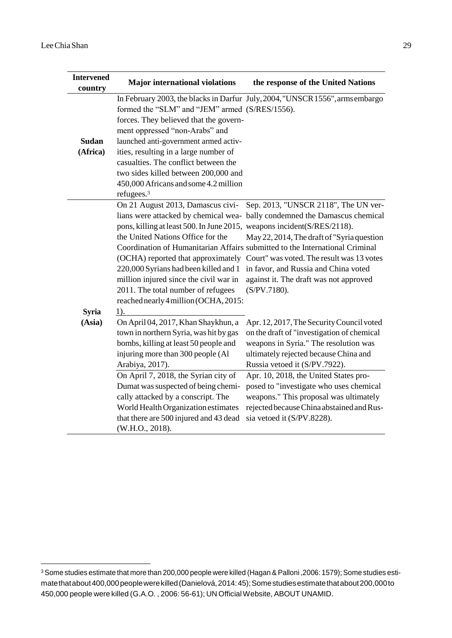| <b>Intervened</b><br>country | <b>Major international violations</b>                                                                                                                                                                                                                                                                                                                                         | the response of the United Nations                                                                                                                                                                                                                                                                                                                                                           |
|------------------------------|-------------------------------------------------------------------------------------------------------------------------------------------------------------------------------------------------------------------------------------------------------------------------------------------------------------------------------------------------------------------------------|----------------------------------------------------------------------------------------------------------------------------------------------------------------------------------------------------------------------------------------------------------------------------------------------------------------------------------------------------------------------------------------------|
| <b>Sudan</b><br>(Africa)     | formed the "SLM" and "JEM" armed (S/RES/1556).<br>forces. They believed that the govern-<br>ment oppressed "non-Arabs" and<br>launched anti-government armed activ-<br>ities, resulting in a large number of<br>casualties. The conflict between the<br>two sides killed between 200,000 and<br>450,000 Africans and some 4.2 million<br>refugees. <sup>3</sup>               | In February 2003, the blacks in Darfur July, 2004, "UNSCR 1556", arms embargo                                                                                                                                                                                                                                                                                                                |
| <b>Syria</b>                 | On 21 August 2013, Damascus civi-<br>lians were attacked by chemical wea-<br>pons, killing at least 500. In June 2015,<br>the United Nations Office for the<br>(OCHA) reported that approximately<br>220,000 Syrians had been killed and 1<br>million injured since the civil war in<br>2011. The total number of refugees<br>reached nearly 4 million (OCHA, 2015:<br>$1$ ). | Sep. 2013, "UNSCR 2118", The UN ver-<br>bally condemned the Damascus chemical<br>weapons incident(S/RES/2118).<br>May 22, 2014, The draft of "Syria question"<br>Coordination of Humanitarian Affairs submitted to the International Criminal<br>Court" was voted. The result was 13 votes<br>in favor, and Russia and China voted<br>against it. The draft was not approved<br>(S/PV.7180). |
| (Asia)                       | On April 04, 2017, Khan Shaykhun, a<br>town in northern Syria, was hit by gas<br>bombs, killing at least 50 people and<br>injuring more than 300 people (Al<br>Arabiya, 2017).                                                                                                                                                                                                | Apr. 12, 2017, The Security Council voted<br>on the draft of "investigation of chemical<br>weapons in Syria." The resolution was<br>ultimately rejected because China and<br>Russia vetoed it (S/PV.7922).                                                                                                                                                                                   |
|                              | On April 7, 2018, the Syrian city of<br>Dumat was suspected of being chemi-<br>cally attacked by a conscript. The<br>World Health Organization estimates<br>that there are 500 injured and 43 dead<br>(W.H.O., 2018).                                                                                                                                                         | Apr. 10, 2018, the United States pro-<br>posed to "investigate who uses chemical<br>weapons." This proposal was ultimately<br>rejected because China abstained and Rus-<br>sia vetoed it (S/PV.8228).                                                                                                                                                                                        |

<sup>&</sup>lt;sup>3</sup> Some studies estimate that more than 200,000 people were killed (Hagan & Palloni ,2006: 1579); Some studies estimatethatabout400,000peoplewerekilled(Danielová,2014:45);Somestudiesestimatethatabout200,000to 450,000 people were killed (G.A.O. , 2006: 56-61); UN OfficialWebsite, ABOUT UNAMID.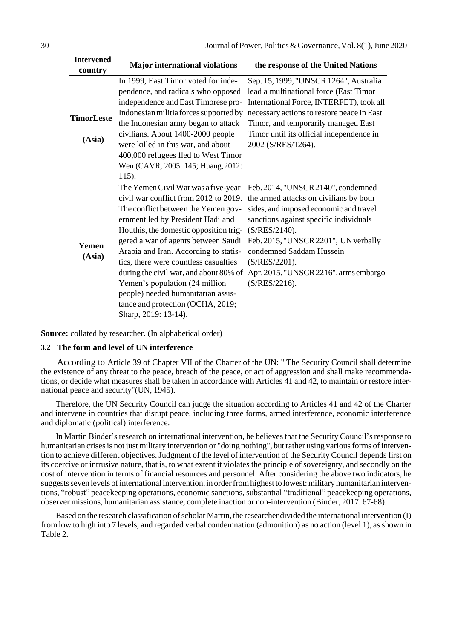| <b>Intervened</b><br>country | <b>Major international violations</b>                                                                                                                                                                                                                                                                                                                                                                                                                                                                      | the response of the United Nations                                                                                                                                                                                                                                                                                                     |
|------------------------------|------------------------------------------------------------------------------------------------------------------------------------------------------------------------------------------------------------------------------------------------------------------------------------------------------------------------------------------------------------------------------------------------------------------------------------------------------------------------------------------------------------|----------------------------------------------------------------------------------------------------------------------------------------------------------------------------------------------------------------------------------------------------------------------------------------------------------------------------------------|
| <b>TimorLeste</b>            | In 1999, East Timor voted for inde-<br>pendence, and radicals who opposed<br>independence and East Timorese pro-<br>Indonesian militia forces supported by<br>the Indonesian army began to attack                                                                                                                                                                                                                                                                                                          | Sep. 15, 1999, "UNSCR 1264", Australia<br>lead a multinational force (East Timor<br>International Force, INTERFET), took all<br>necessary actions to restore peace in East<br>Timor, and temporarily managed East                                                                                                                      |
| (Asia)                       | civilians. About 1400-2000 people<br>were killed in this war, and about<br>400,000 refugees fled to West Timor<br>Wen (CAVR, 2005: 145; Huang, 2012:<br>115).                                                                                                                                                                                                                                                                                                                                              | Timor until its official independence in<br>2002 (S/RES/1264).                                                                                                                                                                                                                                                                         |
| Yemen<br>(Asia)              | The Yemen Civil War was a five-year<br>civil war conflict from 2012 to 2019.<br>The conflict between the Yemen gov-<br>ernment led by President Hadi and<br>Houthis, the domestic opposition trig-<br>gered a war of agents between Saudi<br>Arabia and Iran. According to statis-<br>tics, there were countless casualties<br>during the civil war, and about 80% of<br>Yemen's population (24 million<br>people) needed humanitarian assis-<br>tance and protection (OCHA, 2019;<br>Sharp, 2019: 13-14). | Feb. 2014, "UNSCR 2140", condemned<br>the armed attacks on civilians by both<br>sides, and imposed economic and travel<br>sanctions against specific individuals<br>$(S/RES/2140)$ .<br>Feb. 2015, "UNSCR 2201", UN verbally<br>condemned Saddam Hussein<br>(S/RES/2201).<br>Apr. 2015, "UNSCR 2216", arms embargo<br>$(S/RES/2216)$ . |

**Source:** collated by researcher. (In alphabetical order)

#### **3.2 The form and level of UN interference**

According to Article 39 of Chapter VII of the Charter of the UN: " The Security Council shall determine the existence of any threat to the peace, breach of the peace, or act of aggression and shall make recommendations, or decide what measures shall be taken in accordance with Articles 41 and 42, to maintain or restore international peace and security"(UN, 1945).

Therefore, the UN Security Council can judge the situation according to Articles 41 and 42 of the Charter and intervene in countries that disrupt peace, including three forms, armed interference, economic interference and diplomatic (political) interference.

In Martin Binder's research on international intervention, he believes that the Security Council's response to humanitarian crises is not just military intervention or "doing nothing", but rather using various forms of intervention to achieve different objectives. Judgment of the level of intervention of the Security Council depends first on its coercive or intrusive nature, that is, to what extent it violates the principle of sovereignty, and secondly on the cost of intervention in terms of financial resources and personnel. After considering the above two indicators, he suggests seven levels of international intervention, in order from highest to lowest: military humanitarian interventions, "robust" peacekeeping operations, economic sanctions, substantial "traditional" peacekeeping operations, observer missions, humanitarian assistance, complete inaction or non-intervention (Binder, 2017: 67-68).

Based on the research classification ofscholar Martin, the researcher divided the international intervention (I) from low to high into 7 levels, and regarded verbal condemnation (admonition) as no action (level 1), asshown in Table 2.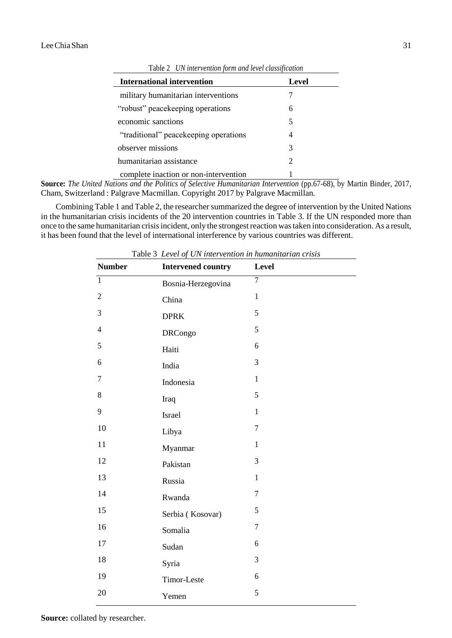| <b>International intervention</b>      | Level |
|----------------------------------------|-------|
| military humanitarian interventions    |       |
| "robust" peace keeping operations      | 6     |
| economic sanctions                     | 5     |
| "traditional" peace keeping operations |       |
| observer missions                      | 3     |
| humanitarian assistance                | 2     |
| complete inaction or non-intervention  |       |

Table 2 *UN intervention form and level classification*

**Source:** *The United Nations and the Politics of Selective Humanitarian Intervention* (pp.67-68), by Martin Binder, 2017, Cham, Switzerland : Palgrave Macmillan. Copyright 2017 by Palgrave Macmillan.

Combining Table 1 and Table 2, the researcher summarized the degree of intervention by the United Nations in the humanitarian crisis incidents of the 20 intervention countries in Table 3. If the UN responded more than once to the same humanitarian crisis incident, only the strongest reaction was taken into consideration. As a result, it has been found that the level of international interference by various countries was different.

| <b>Number</b>    | <b>Intervened country</b> | Level          |
|------------------|---------------------------|----------------|
| $\overline{1}$   | Bosnia-Herzegovina        | $\overline{7}$ |
| $\sqrt{2}$       | China                     | $\mathbf{1}$   |
| 3                | <b>DPRK</b>               | 5              |
| $\overline{4}$   | <b>DRCongo</b>            | 5              |
| 5                | Haiti                     | 6              |
| $\boldsymbol{6}$ | India                     | 3              |
| $\overline{7}$   | Indonesia                 | $\mathbf{1}$   |
| 8                | Iraq                      | 5              |
| 9                | Israel                    | $\mathbf{1}$   |
| 10               | Libya                     | $\overline{7}$ |
| 11               | Myanmar                   | $\mathbf{1}$   |
| 12               | Pakistan                  | 3              |
| 13               | Russia                    | $\mathbf{1}$   |
| 14               | Rwanda                    | $\tau$         |
| 15               | Serbia (Kosovar)          | 5              |
| 16               | Somalia                   | $\overline{7}$ |
| 17               | Sudan                     | 6              |
| 18               | Syria                     | 3              |
| 19               | Timor-Leste               | 6              |
| 20               | Yemen                     | 5              |

Table 3 *Level of UN intervention in humanitarian crisis*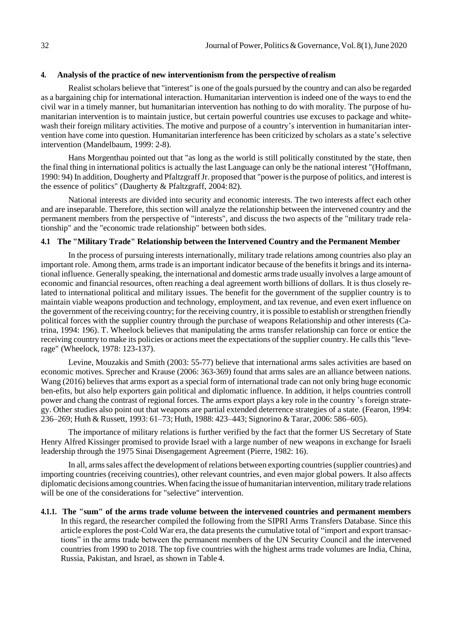#### **4. Analysis of the practice of new interventionism from the perspective of realism**

Realist scholars believe that "interest" is one of the goals pursued by the country and can also be regarded as a bargaining chip for international interaction. Humanitarian intervention is indeed one of the ways to end the civil war in a timely manner, but humanitarian intervention has nothing to do with morality. The purpose of humanitarian intervention is to maintain justice, but certain powerful countries use excuses to package and whitewash their foreign military activities. The motive and purpose of a country's intervention in humanitarian intervention have come into question. Humanitarian interference has been criticized by scholars as a state's selective intervention (Mandelbaum, 1999: 2-8).

Hans Morgenthau pointed out that "as long as the world is still politically constituted by the state, then the final thing in international politics is actually the last Language can only be the national interest "(Hoffmann, 1990: 94) In addition, Dougherty and PfaltzgraffJr. proposed that "power isthe purpose of politics, and interest is the essence of politics" (Daugherty & Pfaltzgraff, 2004: 82).

National interests are divided into security and economic interests. The two interests affect each other and are inseparable. Therefore, this section will analyze the relationship between the intervened country and the permanent members from the perspective of "interests", and discuss the two aspects of the "military trade relationship" and the "economic trade relationship" between both sides.

### **4.1 The "Military Trade" Relationship between the Intervened Country and the Permanent Member**

In the process of pursuing interests internationally, military trade relations among countries also play an important role. Among them, arms trade is an important indicator because of the benefits it brings and its international influence. Generally speaking, the international and domestic armstrade usually involves a large amount of economic and financial resources, often reaching a deal agreement worth billions of dollars. It is thus closely related to international political and military issues. The benefit for the government of the supplier country is to maintain viable weapons production and technology, employment, and tax revenue, and even exert influence on the government of the receiving country; for the receiving country, it is possible to establish orstrengthen friendly political forces with the supplier country through the purchase of weapons Relationship and other interests (Catrina, 1994: 196). T. Wheelock believes that manipulating the arms transfer relationship can force or entice the receiving country to make its policies or actions meet the expectations of the supplier country. He callsthis "leverage" (Wheelock, 1978: 123-137).

Levine, Mouzakis and Smith (2003: 55-77) believe that international arms sales activities are based on economic motives. Sprecher and Krause (2006: 363-369) found that arms sales are an alliance between nations. Wang (2016) believes that arms export as a special form of international trade can not only bring huge economic ben-efits, but also help exporters gain political and diplomatic influence. In addition, it helps countries controll power and chang the contrast of regional forces. The arms export plays a key role in the country 's foreign strategy. Other studies also point out that weapons are partial extended deterrence strategies of a state. (Fearon, 1994: 236–269; Huth & Russett, 1993: 61–73; Huth, 1988: 423–443; Signorino & Tarar, 2006: 586–605).

The importance of military relations is further verified by the fact that the former US Secretary of State Henry Alfred Kissinger promised to provide Israel with a large number of new weapons in exchange for Israeli leadership through the 1975 Sinai Disengagement Agreement (Pierre, 1982: 16).

In all, armssales affect the development of relations between exporting countries(supplier countries) and importing countries (receiving countries), other relevant countries, and even major global powers. It also affects diplomatic decisions among countries. When facing the issue of humanitarian intervention, military trade relations will be one of the considerations for "selective" intervention.

**4.1.1. The "sum" of the arms trade volume between the intervened countries and permanent members**  In this regard, the researcher compiled the following from the SIPRI Arms Transfers Database. Since this article explores the post-Cold War era, the data presents the cumulative total of "import and export transactions" in the arms trade between the permanent members of the UN Security Council and the intervened countries from 1990 to 2018. The top five countries with the highest arms trade volumes are India, China, Russia, Pakistan, and Israel, as shown in Table 4.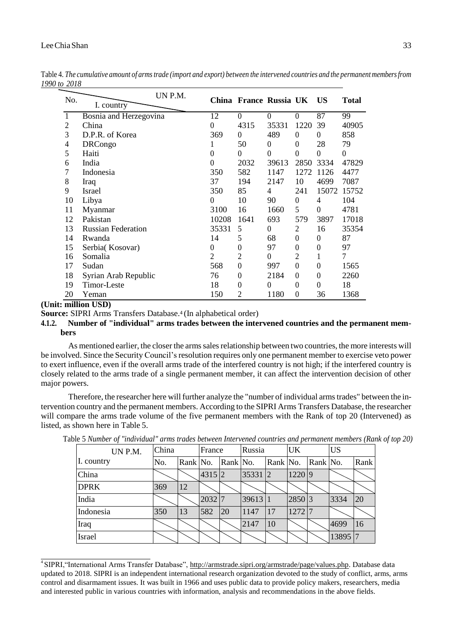## LeeChiaShan 33

| No. | I. country                | UN P.M. |                | China France Russia UK |                  |                | <b>US</b>      | <b>Total</b>   |
|-----|---------------------------|---------|----------------|------------------------|------------------|----------------|----------------|----------------|
|     | Bosnia and Herzegovina    |         | 12             | $\theta$               | 0                | $\Omega$       | 87             | 99             |
| 2   | China                     |         | 0              | 4315                   | 35331            | 1220           | 39             | 40905          |
| 3   | D.P.R. of Korea           |         | 369            | $\theta$               | 489              | $\theta$       | $\theta$       | 858            |
| 4   | <b>DRCongo</b>            |         |                | 50                     | $\theta$         | $\Omega$       | 28             | 79             |
| 5   | Haiti                     |         | $\theta$       | $\Omega$               | $\theta$         | $\theta$       | $\overline{0}$ | $\theta$       |
| 6   | India                     |         | 0              | 2032                   | 39613            | 2850           | 3334           | 47829          |
| 7   | Indonesia                 |         | 350            | 582                    | 1147             | 1272           | 1126           | 4477           |
| 8   | Iraq                      |         | 37             | 194                    | 2147             | 10             | 4699           | 7087           |
| 9   | <b>Israel</b>             |         | 350            | 85                     | 4                | 241            | 15072          | 15752          |
| 10  | Libya                     |         | $\theta$       | 10                     | 90               | $\theta$       | 4              | 104            |
| 11  | Myanmar                   |         | 3100           | 16                     | 1660             | 5              | $\theta$       | 4781           |
| 12  | Pakistan                  |         | 10208          | 1641                   | 693              | 579            | 3897           | 17018          |
| 13  | <b>Russian Federation</b> |         | 35331          | 5                      | $\theta$         | $\overline{2}$ | 16             | 35354          |
| 14  | Rwanda                    |         | 14             | 5                      | 68               | $\theta$       | $\theta$       | 87             |
| 15  | Serbia(Kosovar)           |         | 0              | 0                      | 97               | $\theta$       | 0              | 97             |
| 16  | Somalia                   |         | $\overline{2}$ | 2                      | $\theta$         | 2              | 1              | $\overline{7}$ |
| 17  | Sudan                     |         | 568            | $\boldsymbol{0}$       | 997              | $\mathbf{0}$   | $\theta$       | 1565           |
| 18  | Syrian Arab Republic      |         | 76             | $\boldsymbol{0}$       | 2184             | $\theta$       | $\theta$       | 2260           |
| 19  | <b>Timor-Leste</b>        |         | 18             | $\boldsymbol{0}$       | $\left( \right)$ | $\theta$       | $\theta$       | 18             |
| 20  | Yeman                     |         | 150            | $\overline{2}$         | 1180             | $\mathbf{0}$   | 36             | 1368           |

Table 4. The cumulative amount of arms trade (import and export) between the intervened countries and the permanent members from *1990 to 2018*

# **(Unit: million USD)**

**Source:** SIPRI Arms Transfers Database.4 (In alphabetical order)

**4.1.2. Number of "individual" arms trades between the intervened countries and the permanent members**

As mentioned earlier, the closer the armssalesrelationship between two countries, the more interests will be involved. Since the Security Council'sresolution requires only one permanent member to exercise veto power to exert influence, even if the overall arms trade of the interfered country is not high; if the interfered country is closely related to the arms trade of a single permanent member, it can affect the intervention decision of other major powers.

Therefore, the researcher here will further analyze the "number of individual armstrades" between the intervention country and the permanent members. According to the SIPRI Arms Transfers Database, the researcher will compare the arms trade volume of the five permanent members with the Rank of top 20 (Intervened) as listed, as shown here in Table 5.

| UN P.M.     | China |    | France   |    | Russia                                            |          | UK       |          | <b>US</b> |      |
|-------------|-------|----|----------|----|---------------------------------------------------|----------|----------|----------|-----------|------|
| I. country  | No.   |    |          |    | $\vert$ Rank $\vert$ No. $\vert$ Rank $\vert$ No. | Rank No. |          | Rank No. |           | Rank |
| China       |       |    | $4315$ 2 |    | 35331 2                                           |          | 1220 9   |          |           |      |
| <b>DPRK</b> | 369   | 12 |          |    |                                                   |          |          |          |           |      |
| India       |       |    | 2032   7 |    | 39613 1                                           |          | 2850 3   |          | 3334      | 20   |
| Indonesia   | 350   | 13 | 582      | 20 | 1147                                              | 17       | $1272$ 7 |          |           |      |
| Iraq        |       |    |          |    | 2147                                              | 10       |          |          | 4699      | 16   |
| Israel      |       |    |          |    |                                                   |          |          |          | 13895 7   |      |

Table 5 *Number of "individual" arms trades between Intervened countries and permanent members (Rank of top 20)*

<sup>&</sup>lt;sup>4</sup> SIPRI, "International Arms Transfer Database", [http://armstrade.sipri.org/armstrade/page/values.php. D](http://armstrade.sipri.org/armstrade/page/values.php)atabase data updated to 2018. SIPRI is an independent international research organization devoted to the study of conflict, arms, arms control and disarmament issues. It was built in 1966 and uses public data to provide policy makers, researchers, media and interested public in various countries with information, analysis and recommendations in the above fields.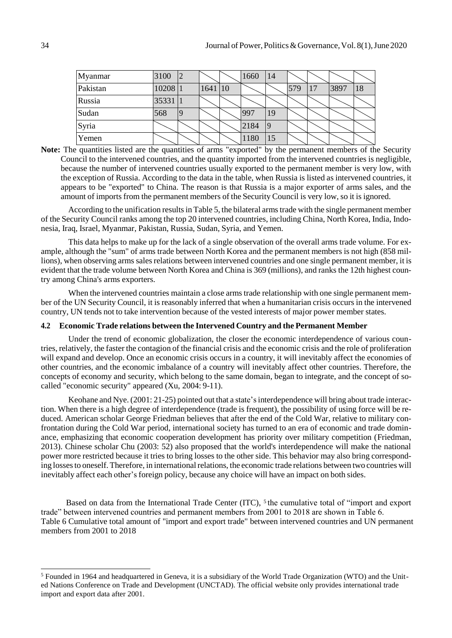| Myanmar  | 3100    | 12 |         | 1660 | 14 |     |               |      |    |
|----------|---------|----|---------|------|----|-----|---------------|------|----|
| Pakistan | 10208 1 |    | 1641 10 |      |    | 579 | <sup>17</sup> | 3897 | 18 |
| Russia   | 35331   |    |         |      |    |     |               |      |    |
| Sudan    | 568     |    |         | 997  | 19 |     |               |      |    |
| Syria    |         |    |         | 2184 | 19 |     |               |      |    |
| Yemen    |         |    |         | 1180 | 15 |     |               |      |    |

Note: The quantities listed are the quantities of arms "exported" by the permanent members of the Security Council to the intervened countries, and the quantity imported from the intervened countries is negligible, because the number of intervened countries usually exported to the permanent member is very low, with the exception of Russia. According to the data in the table, when Russia is listed as intervened countries, it appears to be "exported" to China. The reason is that Russia is a major exporter of arms sales, and the amount of imports from the permanent members of the Security Council is very low, so it is ignored.

According to the unification resultsin Table 5, the bilateral armstrade with the single permanent member of the Security Council ranks among the top 20 intervened countries, including China, North Korea, India, Indonesia, Iraq, Israel, Myanmar, Pakistan, Russia, Sudan, Syria, and Yemen.

This data helps to make up for the lack of a single observation of the overall arms trade volume. For example, although the "sum" of arms trade between North Korea and the permanent members is not high (858 millions), when observing arms sales relations between intervened countries and one single permanent member, it is evident that the trade volume between North Korea and China is 369 (millions), and ranks the 12th highest country among China's arms exporters.

When the intervened countries maintain a close arms trade relationship with one single permanent member of the UN Security Council, it is reasonably inferred that when a humanitarian crisis occurs in the intervened country, UN tends not to take intervention because of the vested interests of major power member states.

#### **4.2 Economic Trade relations between the Intervened Country and the Permanent Member**

Under the trend of economic globalization, the closer the economic interdependence of various countries, relatively, the faster the contagion of the financial crisis and the economic crisis and the role of proliferation will expand and develop. Once an economic crisis occurs in a country, it will inevitably affect the economies of other countries, and the economic imbalance of a country will inevitably affect other countries. Therefore, the concepts of economy and security, which belong to the same domain, began to integrate, and the concept of socalled "economic security" appeared (Xu, 2004: 9-11).

Keohane and Nye. (2001: 21-25) pointed out that a state's interdependence will bring about trade interaction. When there is a high degree of interdependence (trade is frequent), the possibility of using force will be reduced. American scholar George Friedman believes that after the end of the Cold War, relative to military confrontation during the Cold War period, international society has turned to an era of economic and trade dominance, emphasizing that economic cooperation development has priority over military competition (Friedman, 2013). Chinese scholar Chu (2003: 52) also proposed that the world's interdependence will make the national power more restricted because it tries to bring losses to the other side. This behavior may also bring corresponding losses to oneself. Therefore, in international relations, the economic trade relations between two countries will inevitably affect each other's foreign policy, because any choice will have an impact on both sides.

Based on data from the International Trade Center (ITC), <sup>5</sup> the cumulative total of "import and export trade" between intervened countries and permanent members from 2001 to 2018 are shown in Table 6. Table 6 Cumulative total amount of "import and export trade" between intervened countries and UN permanent members from 2001 to 2018

<sup>5</sup> Founded in 1964 and headquartered in Geneva, it is a subsidiary of the World Trade Organization (WTO) and the United Nations Conference on Trade and Development (UNCTAD). The official website only provides international trade import and export data after 2001.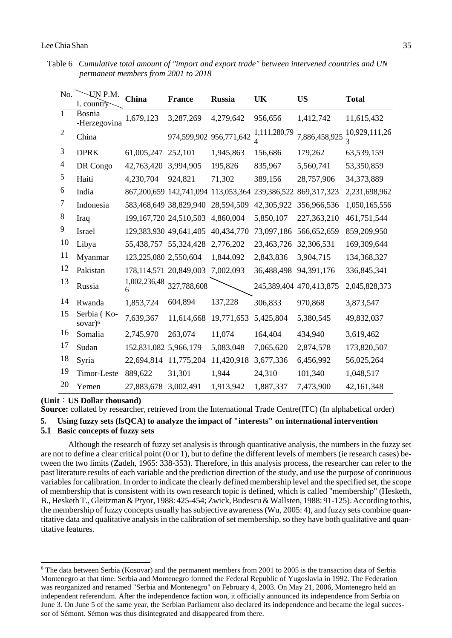Table 6 *Cumulative total amount of "import and export trade" between intervened countries and UN permanent members from 2001 to 2018*

| $\overline{No.}$ | UN P.M.<br>I. country              | China                      | <b>France</b> | <b>Russia</b>           | <b>UK</b>             | <b>US</b>                                                             | <b>Total</b>  |
|------------------|------------------------------------|----------------------------|---------------|-------------------------|-----------------------|-----------------------------------------------------------------------|---------------|
| $\overline{1}$   | <b>Bosnia</b><br>-Herzegovina      | 1,679,123                  | 3,287,269     | 4,279,642               | 956,656               | 1,412,742                                                             | 11,615,432    |
| $\overline{2}$   | China                              |                            |               | 974,599,902 956,771,642 | 1,111,280,79          | 7,886,458,925                                                         | 10,929,111,26 |
| 3                | <b>DPRK</b>                        | 61,005,247                 | 252,101       | 1,945,863               | 156,686               | 179,262                                                               | 63,539,159    |
| $\overline{4}$   | DR Congo                           | 42,763,420                 | 3,994,905     | 195,826                 | 835,967               | 5,560,741                                                             | 53,350,859    |
| 5                | Haiti                              | 4,230,704                  | 924,821       | 71,302                  | 389,156               | 28,757,906                                                            | 34,373,889    |
| 6                | India                              |                            |               |                         |                       | 867, 200, 659 142, 741, 094 113, 053, 364 239, 386, 522 869, 317, 323 | 2,231,698,962 |
| 7                | Indonesia                          | 583,468,649 38,829,940     |               | 28,594,509              | 42,305,922            | 356,966,536                                                           | 1,050,165,556 |
| 8                | Iraq                               | 199, 167, 720 24, 510, 503 |               | 4,860,004               | 5,850,107             | 227,363,210                                                           | 461,751,544   |
| 9                | <b>Israel</b>                      | 129,383,930 49,641,405     |               | 40,434,770              | 73,097,186            | 566,652,659                                                           | 859,209,950   |
| 10               | Libya                              | 55,438,757 55,324,428      |               | 2,776,202               | 23,463,726            | 32,306,531                                                            | 169,309,644   |
| 11               | Myanmar                            | 123,225,080 2,550,604      |               | 1,844,092               | 2,843,836             | 3,904,715                                                             | 134,368,327   |
| 12               | Pakistan                           | 178, 114, 571 20, 849, 003 |               | 7,002,093               | 36,488,498 94,391,176 |                                                                       | 336,845,341   |
| 13               | Russia                             | 1,002,236,48<br>6          | 327,788,608   |                         |                       | 245,389,404 470,413,875                                               | 2,045,828,373 |
| 14               | Rwanda                             | 1,853,724                  | 604,894       | 137,228                 | 306,833               | 970,868                                                               | 3,873,547     |
| 15               | Serbia (Ko-<br>sovar) <sup>6</sup> | 7,639,367                  | 11,614,668    | 19,771,653              | 5,425,804             | 5,380,545                                                             | 49,832,037    |
| 16               | Somalia                            | 2,745,970                  | 263,074       | 11,074                  | 164,404               | 434,940                                                               | 3,619,462     |
| 17               | Sudan                              | 152,831,082 5,966,179      |               | 5,083,048               | 7,065,620             | 2,874,578                                                             | 173,820,507   |
| 18               | Syria                              | 22,694,814                 | 11,775,204    | 11,420,918              | 3,677,336             | 6,456,992                                                             | 56,025,264    |
| 19               | Timor-Leste                        | 889,622                    | 31,301        | 1,944                   | 24,310                | 101,340                                                               | 1,048,517     |
| 20               | Yemen                              | 27,883,678                 | 3,002,491     | 1,913,942               | 1,887,337             | 7,473,900                                                             | 42,161,348    |

**(Unit**:**US Dollar thousand)**

**Source:** collated by researcher, retrieved from the International Trade Centre(ITC) (In alphabetical order)

**5. Using fuzzy sets (fsQCA) to analyze the impact of "interests" on international intervention**

## **5.1 Basic concepts of fuzzy sets**

Although the research of fuzzy set analysis is through quantitative analysis, the numbers in the fuzzy set are not to define a clear critical point (0 or 1), but to define the different levels of members (ie research cases) between the two limits (Zadeh, 1965: 338-353). Therefore, in this analysis process, the researcher can refer to the past literature results of each variable and the prediction direction of the study, and use the purpose of continuous variables for calibration. In order to indicate the clearly defined membership level and the specified set, the scope of membership that is consistent with its own research topic is defined, which is called "membership" (Hesketh, B., Hesketh T., Gleitzman & Pryor, 1988: 425-454; Zwick, Budescu & Wallsten, 1988: 91-125). According to this, the membership of fuzzy concepts usually has subjective awareness (Wu, 2005: 4), and fuzzy sets combine quantitative data and qualitative analysis in the calibration of set membership, so they have both qualitative and quantitative features.

<sup>&</sup>lt;sup>6</sup> The data between Serbia (Kosovar) and the permanent members from 2001 to 2005 is the transaction data of Serbia Montenegro at that time. Serbia and Montenegro formed the Federal Republic of Yugoslavia in 1992. The Federation was reorganized and renamed "Serbia and Montenegro" on February 4, 2003. On May 21, 2006, Montenegro held an independent referendum. After the independence faction won, it officially announced its independence from Serbia on June 3. On June 5 of the same year, the Serbian Parliament also declared its independence and became the legal successor of Sémont. Sémon was thus disintegrated and disappeared from there.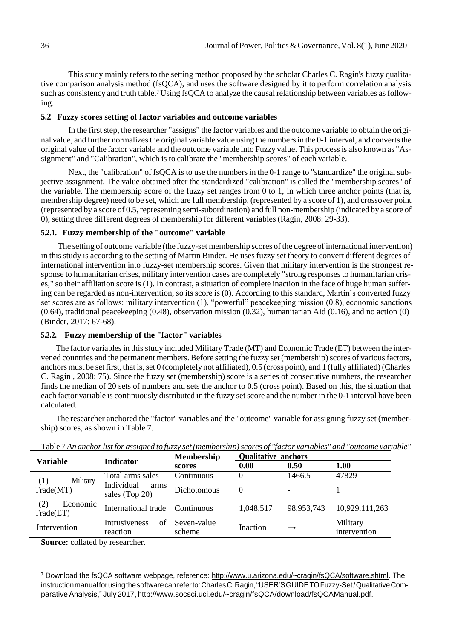This study mainly refers to the setting method proposed by the scholar Charles C. Ragin's fuzzy qualitative comparison analysis method (fsQCA), and uses the software designed by it to perform correlation analysis such as consistency and truth table.<sup>7</sup> Using fsQCA to analyze the causal relationship between variables as following.

### **5.2 Fuzzy scores setting of factor variables and outcome variables**

In the first step, the researcher "assigns" the factor variables and the outcome variable to obtain the original value, and further normalizes the original variable value using the numbers in the 0-1 interval, and converts the original value of the factor variable and the outcome variable into Fuzzy value. This processis also known as "Assignment" and "Calibration", which is to calibrate the "membership scores" of each variable.

Next, the "calibration" of fsOCA is to use the numbers in the 0-1 range to "standardize" the original subjective assignment. The value obtained after the standardized "calibration" is called the "membership scores" of the variable. The membership score of the fuzzy set ranges from 0 to 1, in which three anchor points (that is, membership degree) need to be set, which are full membership, (represented by a score of 1), and crossover point (represented by a score of 0.5, representing semi-subordination) and full non-membership (indicated by a score of 0), setting three different degrees of membership for different variables (Ragin, 2008: 29-33).

## **5.2.1. Fuzzy membership of the "outcome" variable**

The setting of outcome variable (the fuzzy-set membership scores of the degree of international intervention) in this study is according to the setting of Martin Binder. He uses fuzzy set theory to convert different degrees of international intervention into fuzzy-set membership scores. Given that military intervention is the strongest response to humanitarian crises, military intervention cases are completely "strong responses to humanitarian crises," so their affiliation score is (1). In contrast, a situation of complete inaction in the face of huge human suffering can be regarded as non-intervention, so its score is (0). According to this standard, Martin's converted fuzzy set scores are as follows: military intervention (1), "powerful" peacekeeping mission (0.8), economic sanctions  $(0.64)$ , traditional peacekeeping  $(0.48)$ , observation mission  $(0.32)$ , humanitarian Aid  $(0.16)$ , and no action  $(0)$ (Binder, 2017: 67-68).

## **5.2.2. Fuzzy membership of the "factor" variables**

The factor variables in this study included Military Trade (MT) and Economic Trade (ET) between the intervened countries and the permanent members. Before setting the fuzzy set (membership) scores of various factors, anchors must be set first, that is, set 0 (completely not affiliated),  $0.5$  (cross point), and 1 (fully affiliated) (Charles C. Ragin , 2008: 75). Since the fuzzy set (membership) score is a series of consecutive numbers, the researcher finds the median of 20 sets of numbers and sets the anchor to 0.5 (cross point). Based on this, the situation that each factor variable is continuously distributed in the fuzzy set score and the number in the 0-1 interval have been calculated.

The researcher anchored the "factor" variables and the "outcome" variable for assigning fuzzy set (membership) scores, as shown in Table 7.

|                              | <b>Indicator</b>                       | <b>Qualitative anchors</b><br><b>Membership</b> |           |                |                          |
|------------------------------|----------------------------------------|-------------------------------------------------|-----------|----------------|--------------------------|
| <b>Variable</b>              |                                        | scores                                          | 0.00      | 0.50           | <b>1.00</b>              |
| Military<br>(1)              | Total arms sales                       | Continuous                                      | 0         | 1466.5         | 47829                    |
| Trade(MT)                    | Individual<br>arms<br>sales (Top 20)   | <b>Dichotomous</b>                              | $\theta$  | $\blacksquare$ |                          |
| (2)<br>Economic<br>Trade(ET) | International trade Continuous         |                                                 | 1,048,517 | 98,953,743     | 10,929,111,263           |
| Intervention                 | <i>Intrusiveness</i><br>of<br>reaction | Seven-value<br>scheme                           | Inaction  | $\rightarrow$  | Military<br>intervention |

Table 7 *An anchorlist for assigned to fuzzy set (membership)scores of "factor variables" and "outcome variable"*

**Source:** collated by researcher.

<sup>7</sup> Download the fsQCA software webpage, reference: [http://www.u.arizona.edu/~cragin/fsQCA/software.shtml. T](http://www.u.arizona.edu/~cragin/fsQCA/software.shtml)he instructionmanualforusingthesoftwarecanreferto:CharlesC.Ragin,"USER'SGUIDETOFuzzy-Set/QualitativeComparative Analysis," July 2017, [http://www.socsci.uci.edu/~cragin/fsQCA/download/fsQCAManual.pdf.](http://www.socsci.uci.edu/~cragin/fsQCA/download/fsQCAManual.pdf)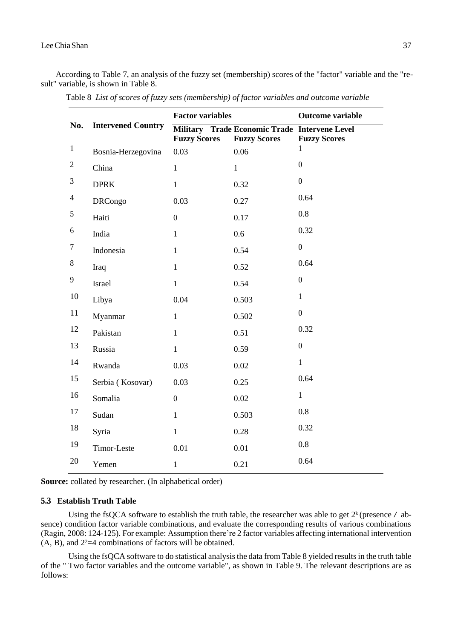According to Table 7, an analysis of the fuzzy set (membership) scores of the "factor" variable and the "result" variable, is shown in Table 8.

|                |                           | <b>Factor variables</b> |                                                                      | Outcome variable    |  |
|----------------|---------------------------|-------------------------|----------------------------------------------------------------------|---------------------|--|
| No.            | <b>Intervened Country</b> | <b>Fuzzy Scores</b>     | Military Trade Economic Trade Intervene Level<br><b>Fuzzy Scores</b> | <b>Fuzzy Scores</b> |  |
| $\overline{1}$ | Bosnia-Herzegovina        | 0.03                    | 0.06                                                                 | 1                   |  |
| $\mathbf{2}$   | China                     | $\overline{1}$          | $\mathbf{1}$                                                         | $\overline{0}$      |  |
| $\mathfrak{Z}$ | <b>DPRK</b>               | $\mathbf{1}$            | 0.32                                                                 | $\boldsymbol{0}$    |  |
| $\overline{4}$ | <b>DRCongo</b>            | 0.03                    | 0.27                                                                 | 0.64                |  |
| 5              | Haiti                     | $\boldsymbol{0}$        | 0.17                                                                 | 0.8                 |  |
| $6\,$          | India                     | $\mathbf{1}$            | 0.6                                                                  | 0.32                |  |
| 7              | Indonesia                 | $\mathbf{1}$            | 0.54                                                                 | $\overline{0}$      |  |
| 8              | Iraq                      | $\mathbf{1}$            | 0.52                                                                 | 0.64                |  |
| 9              | Israel                    | $\mathbf{1}$            | 0.54                                                                 | $\boldsymbol{0}$    |  |
| 10             | Libya                     | 0.04                    | 0.503                                                                | $\mathbf{1}$        |  |
| 11             | Myanmar                   | $\mathbf{1}$            | 0.502                                                                | $\boldsymbol{0}$    |  |
| 12             | Pakistan                  | $\mathbf{1}$            | 0.51                                                                 | 0.32                |  |
| 13             | Russia                    | $\mathbf{1}$            | 0.59                                                                 | $\boldsymbol{0}$    |  |
| 14             | Rwanda                    | 0.03                    | 0.02                                                                 | $\mathbf{1}$        |  |
| 15             | Serbia (Kosovar)          | 0.03                    | 0.25                                                                 | 0.64                |  |
| 16             | Somalia                   | $\overline{0}$          | 0.02                                                                 | $\mathbf{1}$        |  |
| 17             | Sudan                     | $\mathbf{1}$            | 0.503                                                                | 0.8                 |  |
| 18             | Syria                     | $\mathbf{1}$            | 0.28                                                                 | 0.32                |  |
| 19             | Timor-Leste               | 0.01                    | 0.01                                                                 | 0.8                 |  |
| 20             | Yemen                     | $\mathbf{1}$            | 0.21                                                                 | 0.64                |  |

Table 8 *List of scores of fuzzy sets (membership) of factor variables and outcome variable*

**Source:** collated by researcher. (In alphabetical order)

#### **5.3 Establish Truth Table**

Using the fsQCA software to establish the truth table, the researcher was able to get  $2^k$  (presence / absence) condition factor variable combinations, and evaluate the corresponding results of various combinations (Ragin, 2008: 124-125). For example: Assumption there're 2 factor variables affecting international intervention  $(A, B)$ , and  $2<sup>2</sup>=4$  combinations of factors will be obtained.

Using the fsQCA software to do statistical analysis the data from Table 8 yielded results in the truth table of the " Two factor variables and the outcome variable", as shown in Table 9. The relevant descriptions are as follows: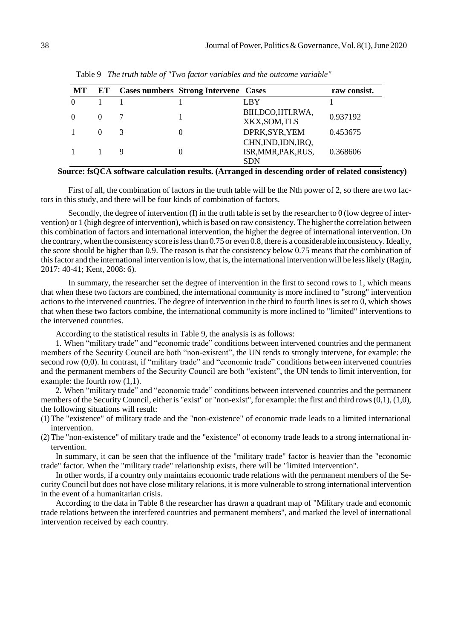| MT       | ET | <b>Cases numbers Strong Intervene Cases</b> |                                                          | raw consist. |
|----------|----|---------------------------------------------|----------------------------------------------------------|--------------|
| $\Omega$ |    |                                             | LBY                                                      |              |
| $\Omega$ |    |                                             | BIH, DCO, HTI, RWA,<br>XKX, SOM, TLS                     | 0.937192     |
|          |    |                                             | DPRK, SYR, YEM                                           | 0.453675     |
|          |    |                                             | CHN, IND, IDN, IRQ,<br>ISR, MMR, PAK, RUS,<br><b>SDN</b> | 0.368606     |

Table 9 *The truth table of "Two factor variables and the outcome variable"*

#### **Source: fsQCA software calculation results. (Arranged in descending order of related consistency)**

First of all, the combination of factors in the truth table will be the Nth power of 2, so there are two factors in this study, and there will be four kinds of combination of factors.

Secondly, the degree of intervention (I) in the truth table is set by the researcher to 0 (low degree of intervention) or 1 (high degree of intervention), which is based on raw consistency. The higher the correlation between this combination of factors and international intervention, the higher the degree of international intervention. On the contrary, when the consistency score islessthan 0.75 or even 0.8, there is a considerable inconsistency.Ideally, the score should be higher than 0.9. The reason is that the consistency below 0.75 means that the combination of thisfactor and the international intervention islow, that is, the international intervention will be lesslikely (Ragin, 2017: 40-41; Kent, 2008: 6).

In summary, the researcher set the degree of intervention in the first to second rows to 1, which means that when these two factors are combined, the international community is more inclined to "strong" intervention actions to the intervened countries. The degree of intervention in the third to fourth lines is set to 0, which shows that when these two factors combine, the international community is more inclined to "limited" interventions to the intervened countries.

According to the statistical results in Table 9, the analysis is as follows:

1. When "military trade" and "economic trade" conditions between intervened countries and the permanent members of the Security Council are both "non-existent", the UN tends to strongly intervene, for example: the second row (0,0). In contrast, if "military trade" and "economic trade" conditions between intervened countries and the permanent members of the Security Council are both "existent", the UN tends to limit intervention, for example: the fourth row  $(1,1)$ .

2. When "military trade" and "economic trade" conditions between intervened countries and the permanent members of the Security Council, either is "exist" or "non-exist", for example: the first and third rows  $(0,1)$ ,  $(1,0)$ , the following situations will result:

- (1) The "existence" of military trade and the "non-existence" of economic trade leads to a limited international intervention.
- (2) The "non-existence" of military trade and the "existence" of economy trade leads to a strong international intervention.

In summary, it can be seen that the influence of the "military trade" factor is heavier than the "economic trade" factor. When the "military trade" relationship exists, there will be "limited intervention".

In other words, if a country only maintains economic trade relations with the permanent members of the Security Council but does not have close military relations, it is more vulnerable to strong international intervention in the event of a humanitarian crisis.

According to the data in Table 8 the researcher has drawn a quadrant map of "Military trade and economic trade relations between the interfered countries and permanent members", and marked the level of international intervention received by each country.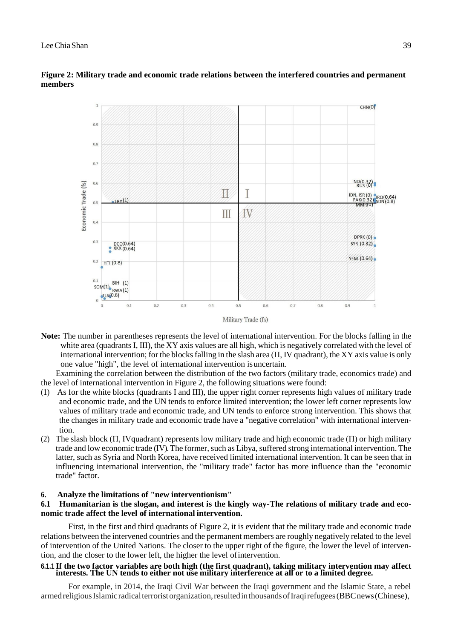

# **Figure 2: Military trade and economic trade relations between the interfered countries and permanent members**

**Note:** The number in parentheses represents the level of international intervention. For the blocks falling in the white area (quadrants I, III), the XY axis values are all high, which is negatively correlated with the level of international intervention; for the blocks falling in the slash area  $(\Pi, IV)$  quadrant), the XY axis value is only one value "high", the level of international intervention isuncertain.

Examining the correlation between the distribution of the two factors (military trade, economics trade) and the level of international intervention in Figure 2, the following situations were found:

- (1) As for the white blocks (quadrants I and III), the upper right corner represents high values of military trade and economic trade, and the UN tends to enforce limited intervention; the lower left corner represents low values of military trade and economic trade, and UN tends to enforce strong intervention. This shows that the changes in military trade and economic trade have a "negative correlation" with international intervention.
- (2) The slash block (П, Ⅳquadrant) represents low military trade and high economic trade (П) or high military trade and low economic trade (IV). The former, such as Libya, suffered strong international intervention. The latter, such as Syria and North Korea, have received limited international intervention. It can be seen that in influencing international intervention, the "military trade" factor has more influence than the "economic trade" factor.

# **6. Analyze the limitations of "new interventionism"**

# **6.1 Humanitarian is the slogan, and interest is the kingly way-The relations of military trade and economic trade affect the level of international intervention.**

First, in the first and third quadrants of Figure 2, it is evident that the military trade and economic trade relations between the intervened countries and the permanent members are roughly negatively related to the level of intervention of the United Nations. The closer to the upper right of the figure, the lower the level of intervention, and the closer to the lower left, the higher the level ofintervention.

## 6.1.1 If the two factor variables are both high (the first quadrant), taking military intervention may affect **interests. The UN tends to either not use military interference at all or to a limited degree.**

For example, in 2014, the Iraqi Civil War between the Iraqi government and the Islamic State, a rebel armed religious Islamic radical terroristorganization, resulted in thousands of Iraqi refugees (BBC news (Chinese),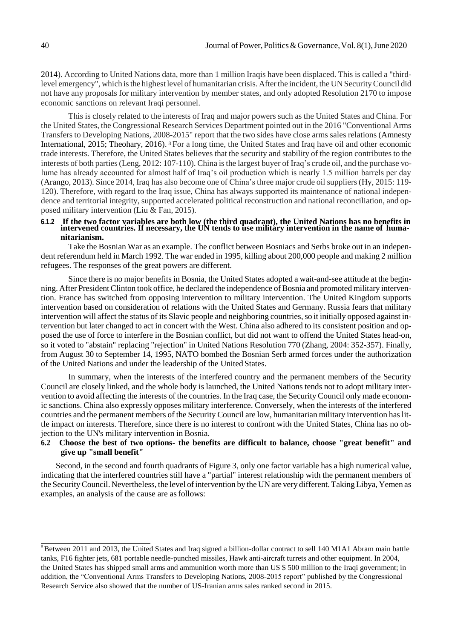2014). According to United Nations data, more than 1 million Iraqis have been displaced. This is called a "thirdlevel emergency", which isthe highest level of humanitarian crisis. Afterthe incident, the UNSecurityCouncil did not have any proposals for military intervention by member states, and only adopted Resolution 2170 to impose economic sanctions on relevant Iraqi personnel.

This is closely related to the interests of Iraq and major powers such as the United States and China. For the United States, the Congressional Research Services Department pointed out in the 2016 "Conventional Arms Transfers to Developing Nations, 2008-2015" report that the two sides have close arms sales relations (Amnesty International, 2015; Theohary, 2016). <sup>8</sup> For a long time, the United States and Iraq have oil and other economic trade interests. Therefore, the United States believes that the security and stability of the region contributes to the interests of both parties(Leng, 2012: 107-110). China isthe largest buyer of Iraq's crude oil, and the purchase volume has already accounted for almost half of Iraq's oil production which is nearly 1.5 million barrels per day (Arango, 2013). Since 2014, Iraq has also become one of China's three major crude oil suppliers (Hy, 2015: 119- 120). Therefore, with regard to the Iraq issue, China has always supported its maintenance of national independence and territorial integrity, supported accelerated political reconstruction and national reconciliation, and opposed military intervention (Liu & Fan, 2015).

#### **6.1.2 If the two factor variables are both low (the third quadrant), the United Nations has no benefits in intervened countries. If necessary, the UN tends to use military intervention in the name of humanitarianism.**

Take the Bosnian War as an example. The conflict between Bosniacs and Serbs broke out in an independent referendum held in March 1992. The war ended in 1995, killing about 200,000 people and making 2 million refugees. The responses of the great powers are different.

Since there is no major benefits in Bosnia, the United States adopted a wait-and-see attitude at the beginning. After President Clinton took office, he declared the independence of Bosnia and promoted military intervention. France has switched from opposing intervention to military intervention. The United Kingdom supports intervention based on consideration of relations with the United States and Germany. Russia fears that military intervention will affect the status of its Slavic people and neighboring countries, so it initially opposed against intervention but later changed to act in concert with the West. China also adhered to its consistent position and opposed the use of force to interfere in the Bosnian conflict, but did not want to offend the United States head-on, so it voted to "abstain" replacing "rejection" in United Nations Resolution 770 (Zhang, 2004: 352-357). Finally, from August 30 to September 14, 1995, NATO bombed the Bosnian Serb armed forces under the authorization of the United Nations and under the leadership of the United States.

In summary, when the interests of the interfered country and the permanent members of the Security Council are closely linked, and the whole body is launched, the United Nations tends not to adopt military intervention to avoid affecting the interests of the countries. In the Iraq case, the Security Council only made economic sanctions. China also expressly opposes military interference. Conversely, when the interests of the interfered countries and the permanent members of the Security Council are low, humanitarian military intervention haslittle impact on interests. Therefore, since there is no interest to confront with the United States, China has no objection to the UN's military intervention in Bosnia.

## **6.2 Choose the best of two options- the benefits are difficult to balance, choose "great benefit" and give up "small benefit"**

Second, in the second and fourth quadrants of Figure 3, only one factor variable has a high numerical value, indicating that the interfered countries still have a "partial" interest relationship with the permanent members of the SecurityCouncil. Nevertheless, the level ofintervention by the UN are very different.TakingLibya, Yemen as examples, an analysis of the cause are asfollows:

<sup>&</sup>lt;sup>8</sup> Between 2011 and 2013, the United States and Iraq signed a billion-dollar contract to sell 140 M1A1 Abram main battle tanks, F16 fighter jets, 681 portable needle-punched missiles, Hawk anti-aircraft turrets and other equipment. In 2004, the United States has shipped small arms and ammunition worth more than US \$ 500 million to the Iraqi government; in addition, the "Conventional Arms Transfers to Developing Nations, 2008-2015 report" published by the Congressional Research Service also showed that the number of US-Iranian arms sales ranked second in 2015.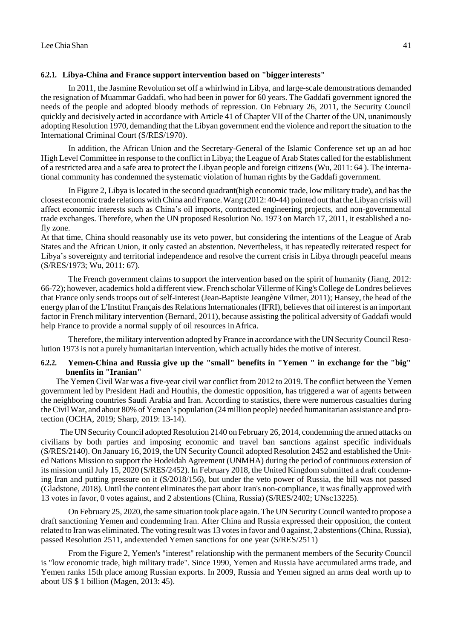#### **6.2.1. Libya-China and France support intervention based on "bigger interests"**

In 2011, the Jasmine Revolution set off a whirlwind in Libya, and large-scale demonstrations demanded the resignation of Muammar Gaddafi, who had been in power for 60 years. The Gaddafi government ignored the needs of the people and adopted bloody methods of repression. On February 26, 2011, the Security Council quickly and decisively acted in accordance with Article 41 of Chapter VII of the Charter of the UN, unanimously adopting Resolution 1970, demanding that the Libyan government end the violence and report the situation to the International Criminal Court (S/RES/1970).

In addition, the African Union and the Secretary-General of the Islamic Conference set up an ad hoc High Level Committee in response to the conflict in Libya; the League of Arab States called for the establishment of a restricted area and a safe area to protect the Libyan people and foreign citizens (Wu, 2011: 64 ). The international community has condemned the systematic violation of human rights by the Gaddafi government.

In Figure 2, Libya islocated in the second quadrant(high economic trade, low military trade), and hasthe closest economic trade relations withChina and France.Wang (2012: 40-44) pointed out that theLibyan crisis will affect economic interests such as China's oil imports, contracted engineering projects, and non-governmental trade exchanges. Therefore, when the UN proposed Resolution No. 1973 on March 17, 2011, it established a nofly zone.

At that time, China should reasonably use its veto power, but considering the intentions of the League of Arab States and the African Union, it only casted an abstention. Nevertheless, it has repeatedly reiterated respect for Libya's sovereignty and territorial independence and resolve the current crisis in Libya through peaceful means (S/RES/1973; Wu, 2011: 67).

The French government claims to support the intervention based on the spirit of humanity (Jiang, 2012: 66-72); however, academics hold a different view. French scholar Villerme of King's College de Londres believes that France only sends troops out of self-interest (Jean-Baptiste Jeangène Vilmer, 2011); Hansey, the head of the energy plan of the L'Institut Français des Relations Internationales (IFRI), believes that oil interest is an important factor in French military intervention (Bernard, 2011), because assisting the political adversity of Gaddafi would help France to provide a normal supply of oil resources inAfrica.

Therefore, the military intervention adopted by France in accordance with the UN Security Council Resolution 1973 is not a purely humanitarian intervention, which actually hides the motive of interest.

# **6.2.2. Yemen-China and Russia give up the "small" benefits in "Yemen " in exchange for the "big" bnenfits in "Iranian"**

The Yemen Civil War was a five-year civil war conflict from 2012 to 2019. The conflict between the Yemen government led by President Hadi and Houthis, the domestic opposition, has triggered a war of agents between the neighboring countries Saudi Arabia and Iran. According to statistics, there were numerous casualties during theCivil War, and about 80% of Yemen's population (24million people) needed humanitarian assistance and protection (OCHA, 2019; Sharp, 2019: 13-14).

The UN Security Council adopted Resolution 2140 on February 26, 2014, condemning the armed attacks on civilians by both parties and imposing economic and travel ban sanctions against specific individuals (S/RES/2140). On January 16, 2019, the UN Security Council adopted Resolution 2452 and established the United Nations Mission to support the Hodeidah Agreement (UNMHA) during the period of continuous extension of its mission untilJuly 15, 2020 (S/RES/2452). In February 2018, the United Kingdom submitted a draft condemning Iran and putting pressure on it (S/2018/156), but under the veto power of Russia, the bill was not passed (Gladstone, 2018). Until the content eliminates the part about Iran's non-compliance, it was finally approved with 13 votes in favor, 0 votes against, and 2 abstentions (China, Russia) (S/RES/2402; UNsc13225).

On February 25, 2020, the same situation took place again. The UN SecurityCouncil wanted to propose a draft sanctioning Yemen and condemning Iran. After China and Russia expressed their opposition, the content related to Iran was eliminated. The voting result was 13 votes in favor and 0 against, 2 abstentions (China, Russia), passed Resolution 2511, andextended Yemen sanctions for one year (S/RES/2511)

From the Figure 2, Yemen's "interest" relationship with the permanent members of the Security Council is "low economic trade, high military trade". Since 1990, Yemen and Russia have accumulated arms trade, and Yemen ranks 15th place among Russian exports. In 2009, Russia and Yemen signed an arms deal worth up to about US \$ 1 billion (Magen, 2013: 45).